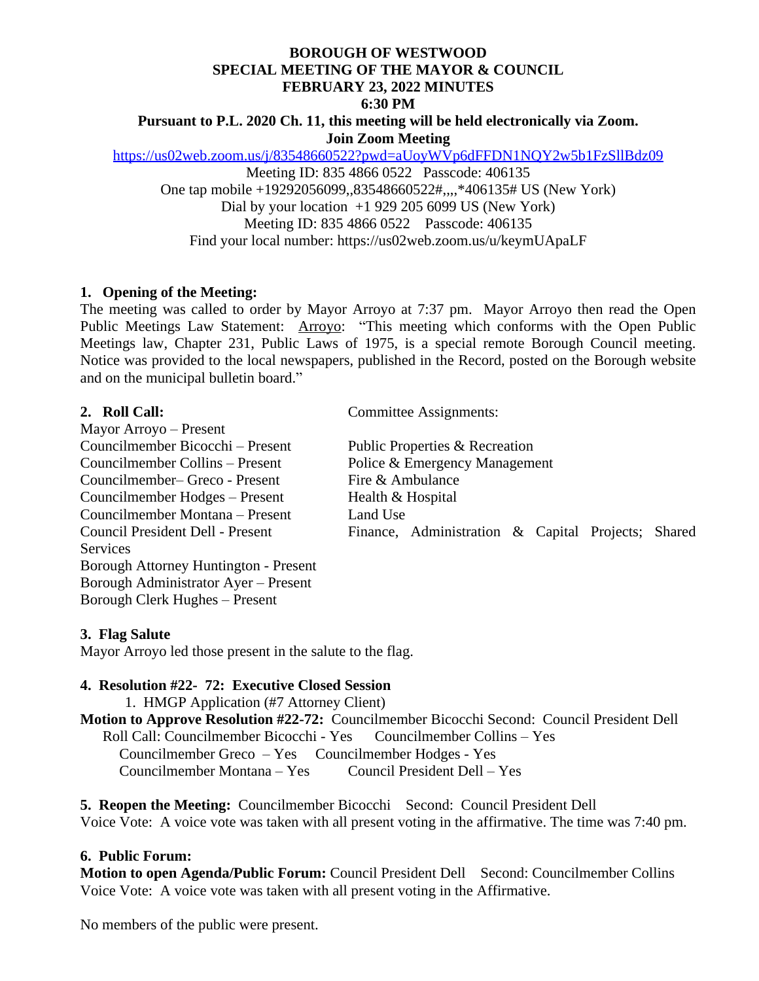#### **BOROUGH OF WESTWOOD SPECIAL MEETING OF THE MAYOR & COUNCIL FEBRUARY 23, 2022 MINUTES 6:30 PM**

### **Pursuant to P.L. 2020 Ch. 11, this meeting will be held electronically via Zoom. Join Zoom Meeting**

<https://us02web.zoom.us/j/83548660522?pwd=aUoyWVp6dFFDN1NQY2w5b1FzSllBdz09> Meeting ID: 835 4866 0522 Passcode: 406135 One tap mobile +19292056099,,83548660522#,,,,\*406135# US (New York) Dial by your location  $+1$  929 205 6099 US (New York) Meeting ID: 835 4866 0522 Passcode: 406135 Find your local number: https://us02web.zoom.us/u/keymUApaLF

# **1. Opening of the Meeting:**

The meeting was called to order by Mayor Arroyo at 7:37 pm. Mayor Arroyo then read the Open Public Meetings Law Statement: Arroyo: "This meeting which conforms with the Open Public Meetings law, Chapter 231, Public Laws of 1975, is a special remote Borough Council meeting. Notice was provided to the local newspapers, published in the Record, posted on the Borough website and on the municipal bulletin board."

Mayor Arroyo – Present Councilmember Bicocchi – Present Public Properties & Recreation Councilmember Collins – Present Police & Emergency Management Councilmember– Greco - Present Fire & Ambulance Councilmember Hodges – Present Health  $&$  Hospital Councilmember Montana – Present Land Use **Services** Borough Attorney Huntington - Present Borough Administrator Ayer – Present Borough Clerk Hughes – Present

**2. Roll Call:** Committee Assignments:

Council President Dell - Present Finance, Administration & Capital Projects; Shared

#### **3. Flag Salute**

Mayor Arroyo led those present in the salute to the flag.

## **4. Resolution #22- 72: Executive Closed Session**

1.HMGP Application (#7 Attorney Client)

#### **Motion to Approve Resolution #22-72:** Councilmember Bicocchi Second: Council President Dell Roll Call: Councilmember Bicocchi - Yes Councilmember Collins – Yes Councilmember Greco – Yes Councilmember Hodges - Yes Councilmember Montana – Yes Council President Dell – Yes

**5. Reopen the Meeting:** Councilmember Bicocchi Second: Council President Dell Voice Vote: A voice vote was taken with all present voting in the affirmative. The time was 7:40 pm.

#### **6. Public Forum:**

**Motion to open Agenda/Public Forum:** Council President DellSecond: Councilmember Collins Voice Vote: A voice vote was taken with all present voting in the Affirmative.

No members of the public were present.